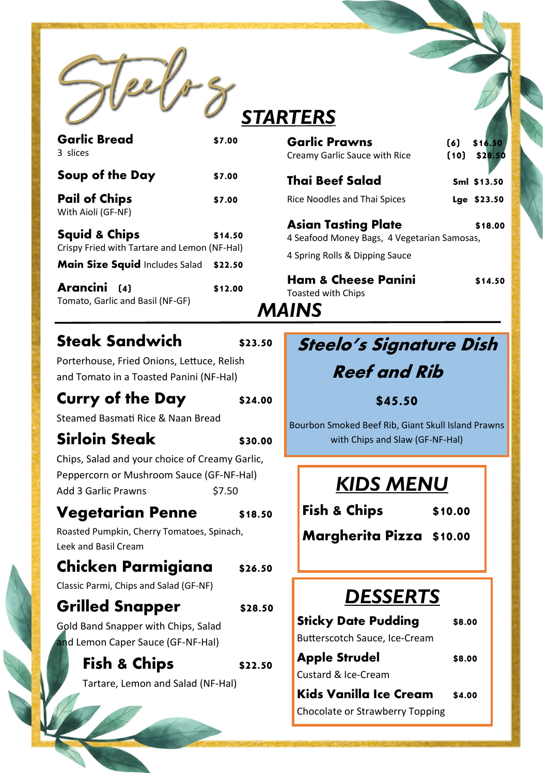

# **STARTERS**

| <b>Garlic Bread</b><br>3 slices                                          | \$7.00  |
|--------------------------------------------------------------------------|---------|
| Soup of the Day                                                          | \$7.00  |
| <b>Pail of Chips</b><br>With Aioli (GF-NF)                               | \$7.00  |
| <b>Squid &amp; Chips</b><br>Crispy Fried with Tartare and Lemon (NF-Hal) | \$14.50 |
| Main Size Squid Includes Salad                                           | \$22.50 |
| Arancini<br>(4)<br>Tomato, Garlic and Basil (NF-GF)                      | \$12.00 |

### **Steak Sandwich** \$23.50

*MAINS*

Porterhouse, Fried Onions, Lettuce, Relish and Tomato in a Toasted Panini (NF-Hal)

#### **Curry of the Day** \$24.00

Steamed Basmati Rice & Naan Bread

### **Sirloin Steak \$30.00**

Chips, Salad and your choice of Creamy Garlic, Peppercorn or Mushroom Sauce (GF-NF-Hal) Add 3 Garlic Prawns \$7.50

#### **Vegetarian Penne \$18.50**

Roasted Pumpkin, Cherry Tomatoes, Spinach, Leek and Basil Cream

### **Chicken Parmigiana \$26.50**

Classic Parmi, Chips and Salad (GF-NF)

### **Grilled Snapper \$28.50**

Gold Band Snapper with Chips, Salad and Lemon Caper Sauce (GF-NF-Hal)

**Fish & Chips**  $$22.50$ 

Tartare, Lemon and Salad (NF-Hal)

# **Steelo's Signature Dish**

**Garlic Prawns (6) \$16.50**  Creamy Garlic Sauce with Rice **(10) \$28.50** 

**Thai Beef Salad Sml \$13.50** 

Rice Noodles and Thai Spices **Lge \$23.50** 

**Asian Tasting Plate** \$18.00 4 Seafood Money Bags, 4 Vegetarian Samosas,

Ham & Cheese Panini \$14.50

4 Spring Rolls & Dipping Sauce

Toasted with Chips

## **Reef and Rib**

**\$45.50** 

Bourbon Smoked Beef Rib, Giant Skull Island Prawns with Chips and Slaw (GF-NF-Hal)

# *KIDS MENU*

**Fish & Chips \$10.00**

**Margherita Pizza \$10.00**

## *DESSERTS*

| <b>Sticky Date Pudding</b>           | \$8.00 |
|--------------------------------------|--------|
| <b>Butterscotch Sauce, Ice-Cream</b> |        |
| <b>Apple Strudel</b>                 | \$8.00 |
| Custard & Ice-Cream                  |        |

**Kids Vanilla Ice Cream \$4.00**  Chocolate or Strawberry Topping